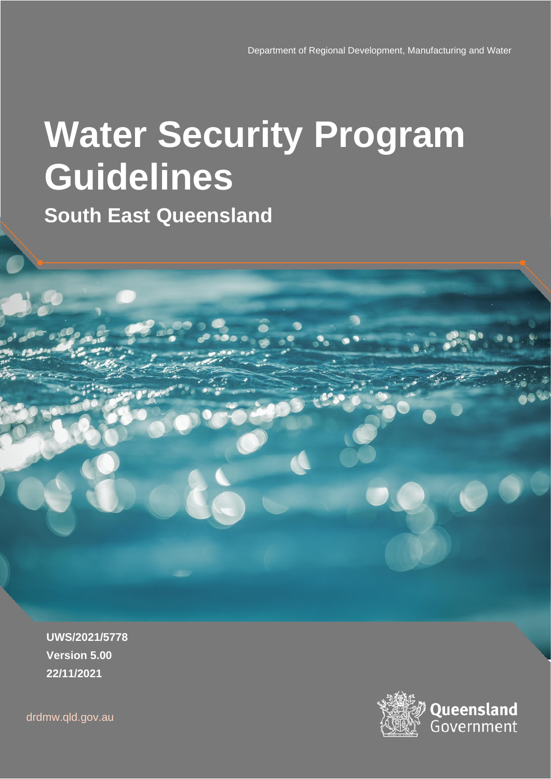# **Water Security Program Guidelines**

**South East Queensland**



drdmw.qld.gov.au

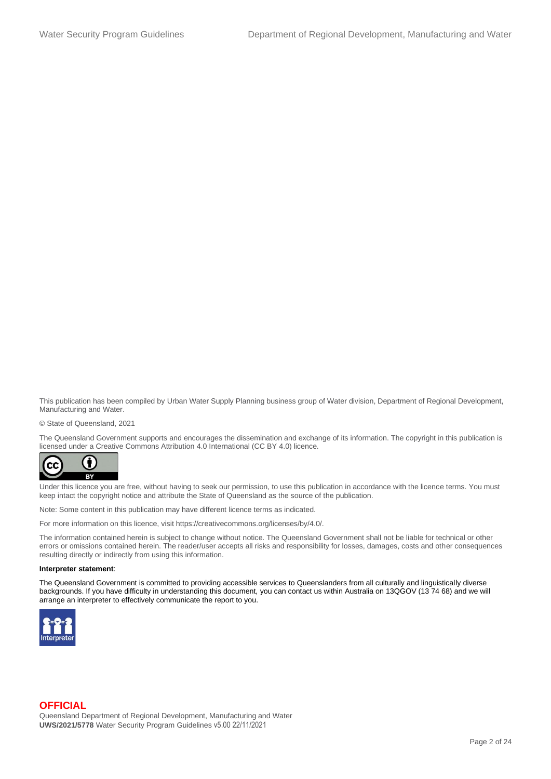This publication has been compiled by Urban Water Supply Planning business group of Water division, Department of Regional Development, Manufacturing and Water.

© State of Queensland, 2021

The Queensland Government supports and encourages the dissemination and exchange of its information. The copyright in this publication is licensed under a Creative Commons Attribution 4.0 International (CC BY 4.0) licence.



Under this licence you are free, without having to seek our permission, to use this publication in accordance with the licence terms. You must keep intact the copyright notice and attribute the State of Queensland as the source of the publication.

Note: Some content in this publication may have different licence terms as indicated.

For more information on this licence, visit https://creativecommons.org/licenses/by/4.0/.

The information contained herein is subject to change without notice. The Queensland Government shall not be liable for technical or other errors or omissions contained herein. The reader/user accepts all risks and responsibility for losses, damages, costs and other consequences resulting directly or indirectly from using this information.

#### **Interpreter statement**:

The Queensland Government is committed to providing accessible services to Queenslanders from all culturally and linguistically diverse backgrounds. If you have difficulty in understanding this document, you can contact us within Australia on 13QGOV (13 74 68) and we will arrange an interpreter to effectively communicate the report to you.



#### **OFFICIAL**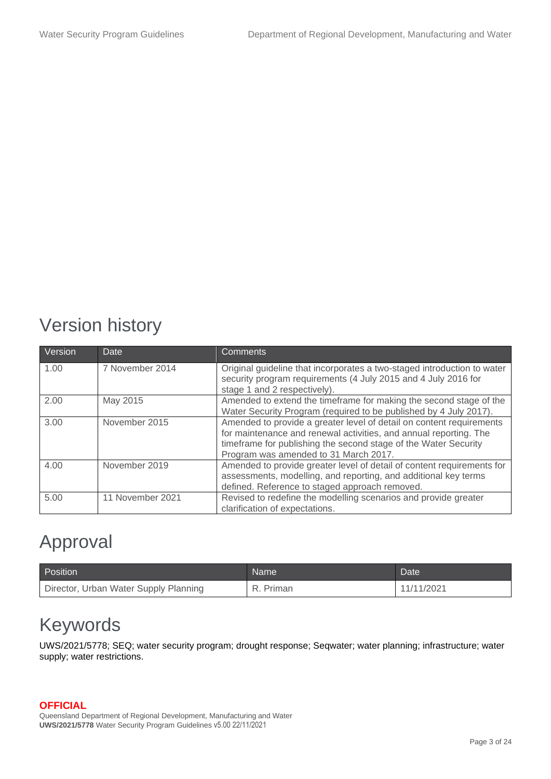### Version history

| Version | <b>Date</b>      | <b>Comments</b>                                                                                                                                                                                                                                       |
|---------|------------------|-------------------------------------------------------------------------------------------------------------------------------------------------------------------------------------------------------------------------------------------------------|
| 1.00    | 7 November 2014  | Original guideline that incorporates a two-staged introduction to water<br>security program requirements (4 July 2015 and 4 July 2016 for<br>stage 1 and 2 respectively).                                                                             |
| 2.00    | May 2015         | Amended to extend the timeframe for making the second stage of the<br>Water Security Program (required to be published by 4 July 2017).                                                                                                               |
| 3.00    | November 2015    | Amended to provide a greater level of detail on content requirements<br>for maintenance and renewal activities, and annual reporting. The<br>timeframe for publishing the second stage of the Water Security<br>Program was amended to 31 March 2017. |
| 4.00    | November 2019    | Amended to provide greater level of detail of content requirements for<br>assessments, modelling, and reporting, and additional key terms<br>defined. Reference to staged approach removed.                                                           |
| 5.00    | 11 November 2021 | Revised to redefine the modelling scenarios and provide greater<br>clarification of expectations.                                                                                                                                                     |

### Approval

| Position <sup>'</sup>                 | Name'     | Date       |
|---------------------------------------|-----------|------------|
| Director, Urban Water Supply Planning | R. Priman | 11/11/2021 |

### Keywords

UWS/2021/5778; SEQ; water security program; drought response; Seqwater; water planning; infrastructure; water supply; water restrictions.

#### **OFFICIAL**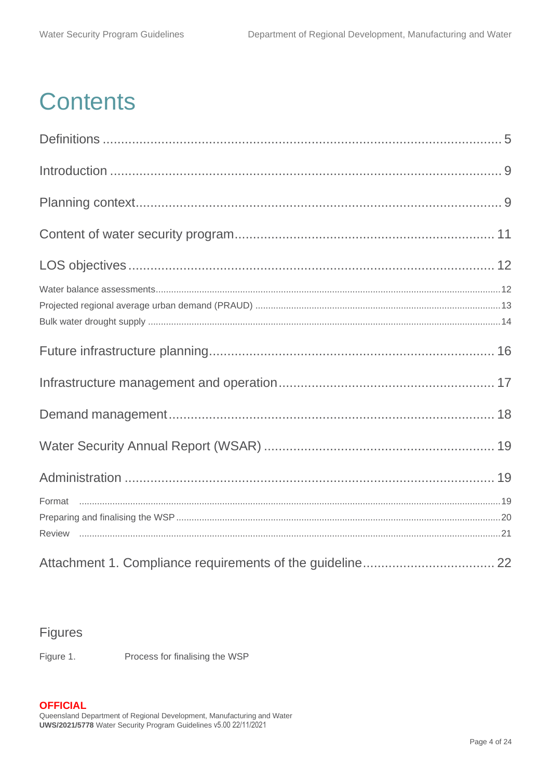# **Contents**

#### **Figures**

Figure 1. Process for finalising the WSP

#### <span id="page-3-0"></span>**OFFICIAL**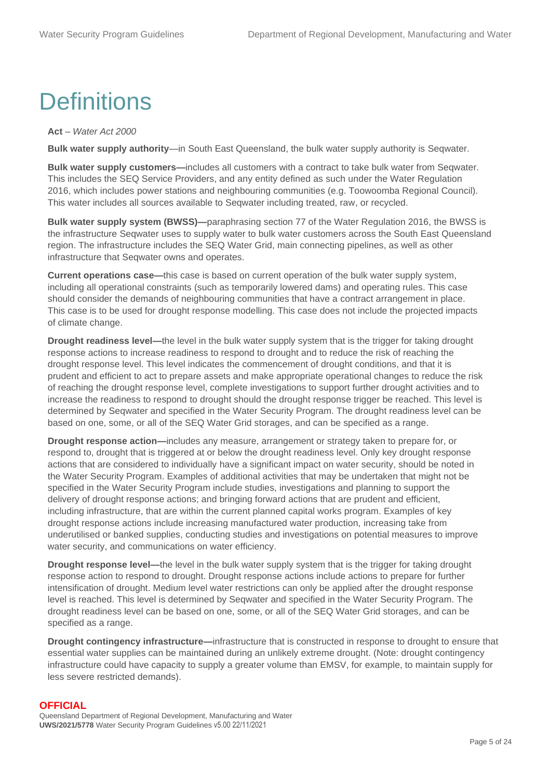# **Definitions**

#### **Act** – *Water Act 2000*

**Bulk water supply authority**—in South East Queensland, the bulk water supply authority is Seqwater.

**Bulk water supply customers—**includes all customers with a contract to take bulk water from Seqwater. This includes the SEQ Service Providers, and any entity defined as such under the Water Regulation 2016, which includes power stations and neighbouring communities (e.g. Toowoomba Regional Council). This water includes all sources available to Seqwater including treated, raw, or recycled.

**Bulk water supply system (BWSS)—**paraphrasing section 77 of the Water Regulation 2016, the BWSS is the infrastructure Seqwater uses to supply water to bulk water customers across the South East Queensland region. The infrastructure includes the SEQ Water Grid, main connecting pipelines, as well as other infrastructure that Seqwater owns and operates.

**Current operations case—**this case is based on current operation of the bulk water supply system, including all operational constraints (such as temporarily lowered dams) and operating rules. This case should consider the demands of neighbouring communities that have a contract arrangement in place. This case is to be used for drought response modelling. This case does not include the projected impacts of climate change.

**Drought readiness level—**the level in the bulk water supply system that is the trigger for taking drought response actions to increase readiness to respond to drought and to reduce the risk of reaching the drought response level. This level indicates the commencement of drought conditions, and that it is prudent and efficient to act to prepare assets and make appropriate operational changes to reduce the risk of reaching the drought response level, complete investigations to support further drought activities and to increase the readiness to respond to drought should the drought response trigger be reached. This level is determined by Seqwater and specified in the Water Security Program. The drought readiness level can be based on one, some, or all of the SEQ Water Grid storages, and can be specified as a range.

**Drought response action—**includes any measure, arrangement or strategy taken to prepare for, or respond to, drought that is triggered at or below the drought readiness level. Only key drought response actions that are considered to individually have a significant impact on water security, should be noted in the Water Security Program. Examples of additional activities that may be undertaken that might not be specified in the Water Security Program include studies, investigations and planning to support the delivery of drought response actions; and bringing forward actions that are prudent and efficient, including infrastructure, that are within the current planned capital works program. Examples of key drought response actions include increasing manufactured water production, increasing take from underutilised or banked supplies, conducting studies and investigations on potential measures to improve water security, and communications on water efficiency.

**Drought response level—**the level in the bulk water supply system that is the trigger for taking drought response action to respond to drought. Drought response actions include actions to prepare for further intensification of drought. Medium level water restrictions can only be applied after the drought response level is reached. This level is determined by Seqwater and specified in the Water Security Program. The drought readiness level can be based on one, some, or all of the SEQ Water Grid storages, and can be specified as a range.

**Drought contingency infrastructure—**infrastructure that is constructed in response to drought to ensure that essential water supplies can be maintained during an unlikely extreme drought. (Note: drought contingency infrastructure could have capacity to supply a greater volume than EMSV, for example, to maintain supply for less severe restricted demands).

#### **OFFICIAL**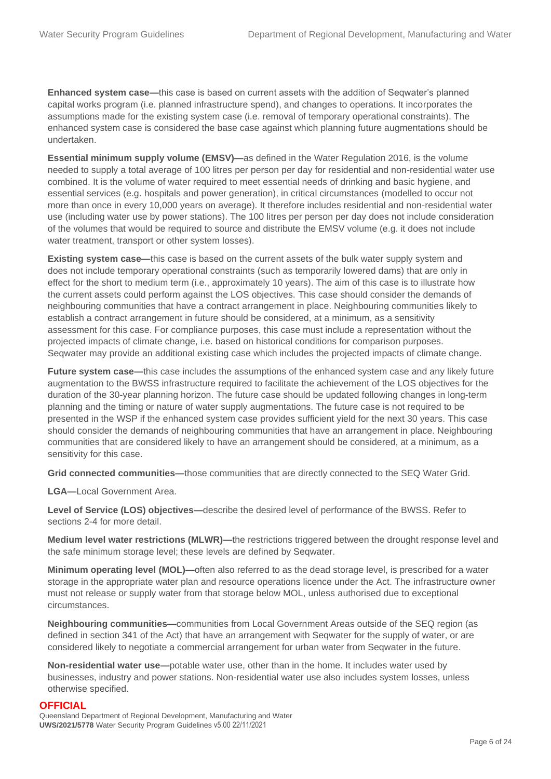**Enhanced system case—**this case is based on current assets with the addition of Seqwater's planned capital works program (i.e. planned infrastructure spend), and changes to operations. It incorporates the assumptions made for the existing system case (i.e. removal of temporary operational constraints). The enhanced system case is considered the base case against which planning future augmentations should be undertaken.

**Essential minimum supply volume (EMSV)—**as defined in the Water Regulation 2016, is the volume needed to supply a total average of 100 litres per person per day for residential and non-residential water use combined. It is the volume of water required to meet essential needs of drinking and basic hygiene, and essential services (e.g. hospitals and power generation), in critical circumstances (modelled to occur not more than once in every 10,000 years on average). It therefore includes residential and non-residential water use (including water use by power stations). The 100 litres per person per day does not include consideration of the volumes that would be required to source and distribute the EMSV volume (e.g. it does not include water treatment, transport or other system losses).

**Existing system case—**this case is based on the current assets of the bulk water supply system and does not include temporary operational constraints (such as temporarily lowered dams) that are only in effect for the short to medium term (i.e., approximately 10 years). The aim of this case is to illustrate how the current assets could perform against the LOS objectives. This case should consider the demands of neighbouring communities that have a contract arrangement in place. Neighbouring communities likely to establish a contract arrangement in future should be considered, at a minimum, as a sensitivity assessment for this case. For compliance purposes, this case must include a representation without the projected impacts of climate change, i.e. based on historical conditions for comparison purposes. Seqwater may provide an additional existing case which includes the projected impacts of climate change.

**Future system case—**this case includes the assumptions of the enhanced system case and any likely future augmentation to the BWSS infrastructure required to facilitate the achievement of the LOS objectives for the duration of the 30-year planning horizon. The future case should be updated following changes in long-term planning and the timing or nature of water supply augmentations. The future case is not required to be presented in the WSP if the enhanced system case provides sufficient yield for the next 30 years. This case should consider the demands of neighbouring communities that have an arrangement in place. Neighbouring communities that are considered likely to have an arrangement should be considered, at a minimum, as a sensitivity for this case.

**Grid connected communities—**those communities that are directly connected to the SEQ Water Grid.

**LGA—**Local Government Area.

**Level of Service (LOS) objectives—**describe the desired level of performance of the BWSS. Refer to sections 2-4 for more detail.

**Medium level water restrictions (MLWR)—**the restrictions triggered between the drought response level and the safe minimum storage level; these levels are defined by Seqwater.

**Minimum operating level (MOL)—**often also referred to as the dead storage level, is prescribed for a water storage in the appropriate water plan and resource operations licence under the Act. The infrastructure owner must not release or supply water from that storage below MOL, unless authorised due to exceptional circumstances.

**Neighbouring communities—**communities from Local Government Areas outside of the SEQ region (as defined in section 341 of the Act) that have an arrangement with Seqwater for the supply of water, or are considered likely to negotiate a commercial arrangement for urban water from Seqwater in the future.

**Non-residential water use—**potable water use, other than in the home. It includes water used by businesses, industry and power stations. Non-residential water use also includes system losses, unless otherwise specified.

#### **OFFICIAL**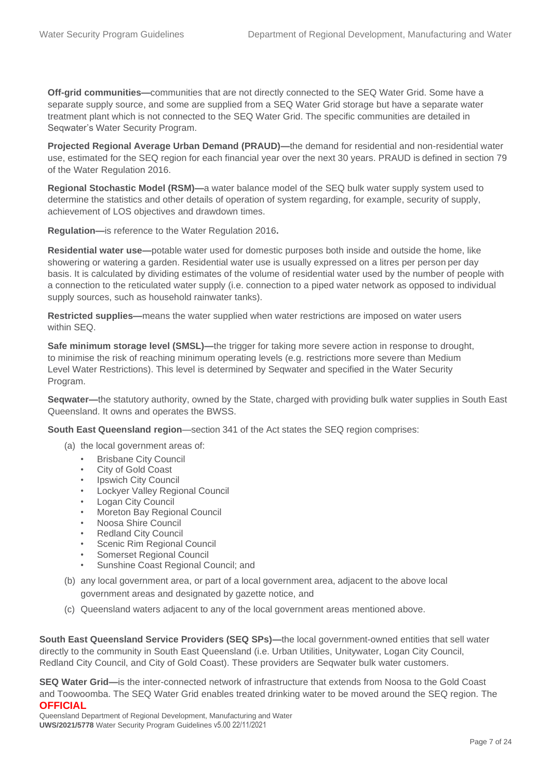**Off-grid communities—**communities that are not directly connected to the SEQ Water Grid. Some have a separate supply source, and some are supplied from a SEQ Water Grid storage but have a separate water treatment plant which is not connected to the SEQ Water Grid. The specific communities are detailed in Seqwater's Water Security Program.

**Projected Regional Average Urban Demand (PRAUD)—**the demand for residential and non-residential water use, estimated for the SEQ region for each financial year over the next 30 years. PRAUD is defined in section 79 of the Water Regulation 2016.

**Regional Stochastic Model (RSM)—**a water balance model of the SEQ bulk water supply system used to determine the statistics and other details of operation of system regarding, for example, security of supply, achievement of LOS objectives and drawdown times.

**Regulation—**is reference to the Water Regulation 2016**.**

**Residential water use—**potable water used for domestic purposes both inside and outside the home, like showering or watering a garden. Residential water use is usually expressed on a litres per person per day basis. It is calculated by dividing estimates of the volume of residential water used by the number of people with a connection to the reticulated water supply (i.e. connection to a piped water network as opposed to individual supply sources, such as household rainwater tanks).

**Restricted supplies—**means the water supplied when water restrictions are imposed on water users within SEQ.

**Safe minimum storage level (SMSL)—the trigger for taking more severe action in response to drought,** to minimise the risk of reaching minimum operating levels (e.g. restrictions more severe than Medium Level Water Restrictions). This level is determined by Seqwater and specified in the Water Security Program.

**Seqwater—**the statutory authority, owned by the State, charged with providing bulk water supplies in South East Queensland. It owns and operates the BWSS.

**South East Queensland region**—section 341 of the Act states the SEQ region comprises:

- (a) the local government areas of:
	- Brisbane City Council
	- City of Gold Coast
	- **Ipswich City Council**
	- Lockyer Valley Regional Council
	- Logan City Council
	- Moreton Bay Regional Council
	- Noosa Shire Council
	- **Redland City Council**
	- **Scenic Rim Regional Council**
	- Somerset Regional Council
	- Sunshine Coast Regional Council; and
- (b) any local government area, or part of a local government area, adjacent to the above local government areas and designated by gazette notice, and
- (c) Queensland waters adjacent to any of the local government areas mentioned above.

**South East Queensland Service Providers (SEQ SPs)—**the local government-owned entities that sell water directly to the community in South East Queensland (i.e. Urban Utilities, Unitywater, Logan City Council, Redland City Council, and City of Gold Coast). These providers are Seqwater bulk water customers.

**OFFICIAL SEQ Water Grid—**is the inter-connected network of infrastructure that extends from Noosa to the Gold Coast and Toowoomba. The SEQ Water Grid enables treated drinking water to be moved around the SEQ region. The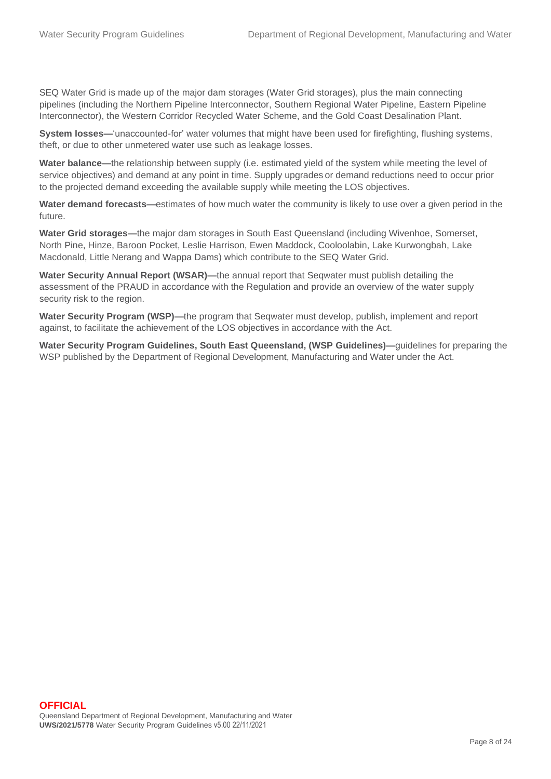SEQ Water Grid is made up of the major dam storages (Water Grid storages), plus the main connecting pipelines (including the Northern Pipeline Interconnector, Southern Regional Water Pipeline, Eastern Pipeline Interconnector), the Western Corridor Recycled Water Scheme, and the Gold Coast Desalination Plant.

**System losses—**'unaccounted-for' water volumes that might have been used for firefighting, flushing systems, theft, or due to other unmetered water use such as leakage losses.

**Water balance—**the relationship between supply (i.e. estimated yield of the system while meeting the level of service objectives) and demand at any point in time. Supply upgrades or demand reductions need to occur prior to the projected demand exceeding the available supply while meeting the LOS objectives.

**Water demand forecasts—**estimates of how much water the community is likely to use over a given period in the future.

**Water Grid storages—**the major dam storages in South East Queensland (including Wivenhoe, Somerset, North Pine, Hinze, Baroon Pocket, Leslie Harrison, Ewen Maddock, Cooloolabin, Lake Kurwongbah, Lake Macdonald, Little Nerang and Wappa Dams) which contribute to the SEQ Water Grid.

**Water Security Annual Report (WSAR)—**the annual report that Seqwater must publish detailing the assessment of the PRAUD in accordance with the Regulation and provide an overview of the water supply security risk to the region.

**Water Security Program (WSP)—**the program that Seqwater must develop, publish, implement and report against, to facilitate the achievement of the LOS objectives in accordance with the Act.

**Water Security Program Guidelines, South East Queensland, (WSP Guidelines)—**guidelines for preparing the WSP published by the Department of Regional Development, Manufacturing and Water under the Act.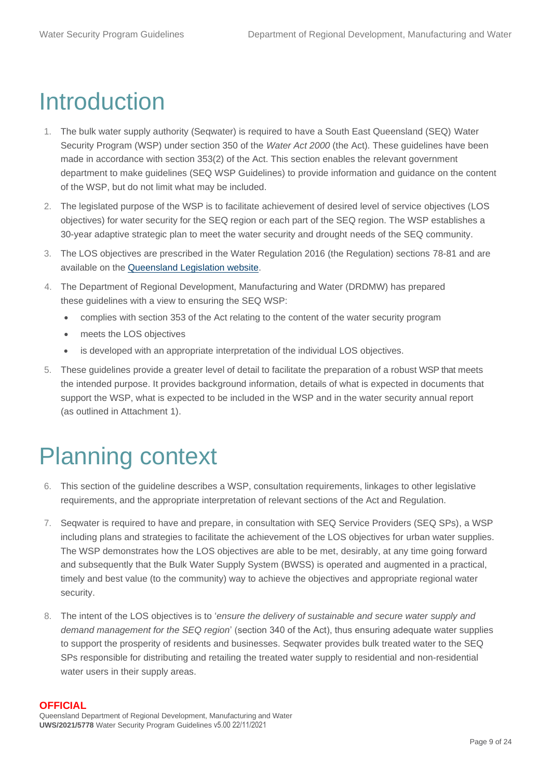# <span id="page-8-0"></span>**Introduction**

- 1. The bulk water supply authority (Seqwater) is required to have a South East Queensland (SEQ) Water Security Program (WSP) under section 350 of the *Water Act 2000* (the Act)*.* These guidelines have been made in accordance with section 353(2) of the Act. This section enables the relevant government department to make guidelines (SEQ WSP Guidelines) to provide information and guidance on the content of the WSP, but do not limit what may be included.
- 2. The legislated purpose of the WSP is to facilitate achievement of desired level of service objectives (LOS objectives) for water security for the SEQ region or each part of the SEQ region. The WSP establishes a 30-year adaptive strategic plan to meet the water security and drought needs of the SEQ community.
- 3. The LOS objectives are prescribed in the Water Regulation 2016 (the Regulation) sections 78-81 and are available on the Queensland [Legislation website.](https://www.legislation.qld.gov.au/view/html/inforce/current/sl-2016-0216)
- 4. The Department of Regional Development, Manufacturing and Water (DRDMW) has prepared these guidelines with a view to ensuring the SEQ WSP:
	- complies with section 353 of the Act relating to the content of the water security program
	- meets the LOS objectives
	- is developed with an appropriate interpretation of the individual LOS objectives.
- 5. These guidelines provide a greater level of detail to facilitate the preparation of a robust WSP that meets the intended purpose. It provides background information, details of what is expected in documents that support the WSP, what is expected to be included in the WSP and in the water security annual report (as outlined in Attachment 1).

# <span id="page-8-1"></span>Planning context

- 6. This section of the guideline describes a WSP, consultation requirements, linkages to other legislative requirements, and the appropriate interpretation of relevant sections of the Act and Regulation.
- 7. Seqwater is required to have and prepare, in consultation with SEQ Service Providers (SEQ SPs), a WSP including plans and strategies to facilitate the achievement of the LOS objectives for urban water supplies. The WSP demonstrates how the LOS objectives are able to be met, desirably, at any time going forward and subsequently that the Bulk Water Supply System (BWSS) is operated and augmented in a practical, timely and best value (to the community) way to achieve the objectives and appropriate regional water security.
- 8. The intent of the LOS objectives is to '*ensure the delivery of sustainable and secure water supply and demand management for the SEQ region*' (section 340 of the Act), thus ensuring adequate water supplies to support the prosperity of residents and businesses. Seqwater provides bulk treated water to the SEQ SPs responsible for distributing and retailing the treated water supply to residential and non-residential water users in their supply areas.

#### **OFFICIAL**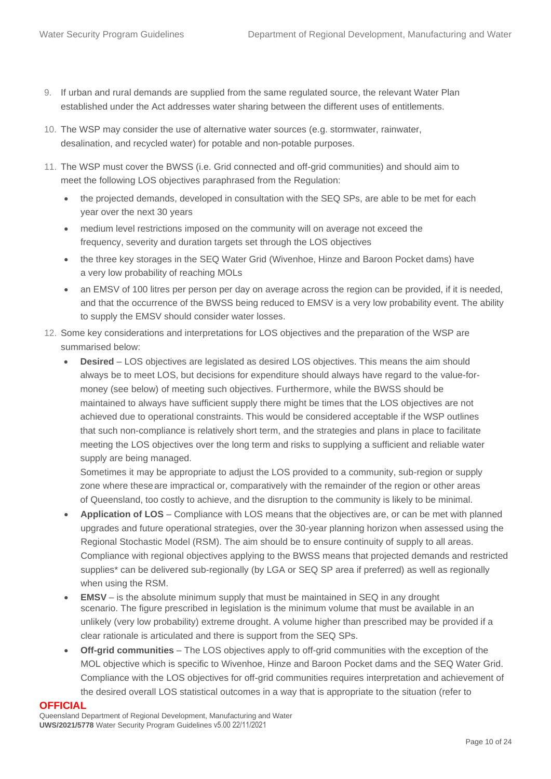- 9. If urban and rural demands are supplied from the same regulated source, the relevant Water Plan established under the Act addresses water sharing between the different uses of entitlements.
- 10. The WSP may consider the use of alternative water sources (e.g. stormwater, rainwater, desalination, and recycled water) for potable and non-potable purposes.
- 11. The WSP must cover the BWSS (i.e. Grid connected and off-grid communities) and should aim to meet the following LOS objectives paraphrased from the Regulation:
	- the projected demands, developed in consultation with the SEQ SPs, are able to be met for each year over the next 30 years
	- medium level restrictions imposed on the community will on average not exceed the frequency, severity and duration targets set through the LOS objectives
	- the three key storages in the SEQ Water Grid (Wivenhoe, Hinze and Baroon Pocket dams) have a very low probability of reaching MOLs
	- an EMSV of 100 litres per person per day on average across the region can be provided, if it is needed, and that the occurrence of the BWSS being reduced to EMSV is a very low probability event. The ability to supply the EMSV should consider water losses.
- 12. Some key considerations and interpretations for LOS objectives and the preparation of the WSP are summarised below:
	- **Desired**  LOS objectives are legislated as desired LOS objectives. This means the aim should always be to meet LOS, but decisions for expenditure should always have regard to the value-formoney (see below) of meeting such objectives. Furthermore, while the BWSS should be maintained to always have sufficient supply there might be times that the LOS objectives are not achieved due to operational constraints. This would be considered acceptable if the WSP outlines that such non-compliance is relatively short term, and the strategies and plans in place to facilitate meeting the LOS objectives over the long term and risks to supplying a sufficient and reliable water supply are being managed.

Sometimes it may be appropriate to adjust the LOS provided to a community, sub-region or supply zone where these are impractical or, comparatively with the remainder of the region or other areas of Queensland, too costly to achieve, and the disruption to the community is likely to be minimal.

- **Application of LOS**  Compliance with LOS means that the objectives are, or can be met with planned upgrades and future operational strategies, over the 30-year planning horizon when assessed using the Regional Stochastic Model (RSM). The aim should be to ensure continuity of supply to all areas. Compliance with regional objectives applying to the BWSS means that projected demands and restricted supplies\* can be delivered sub-regionally (by LGA or SEQ SP area if preferred) as well as regionally when using the RSM.
- **EMSV** is the absolute minimum supply that must be maintained in SEQ in any drought scenario. The figure prescribed in legislation is the minimum volume that must be available in an unlikely (very low probability) extreme drought. A volume higher than prescribed may be provided if a clear rationale is articulated and there is support from the SEQ SPs.
- **Off-grid communities**  The LOS objectives apply to off-grid communities with the exception of the MOL objective which is specific to Wivenhoe, Hinze and Baroon Pocket dams and the SEQ Water Grid. Compliance with the LOS objectives for off-grid communities requires interpretation and achievement of the desired overall LOS statistical outcomes in a way that is appropriate to the situation (refer to

#### **OFFICIAL**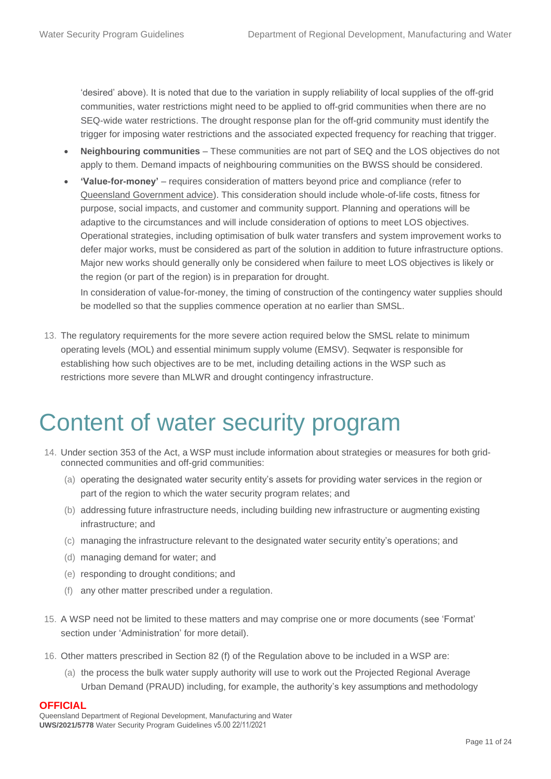'desired' above). It is noted that due to the variation in supply reliability of local supplies of the off-grid communities, water restrictions might need to be applied to off-grid communities when there are no SEQ-wide water restrictions. The drought response plan for the off-grid community must identify the trigger for imposing water restrictions and the associated expected frequency for reaching that trigger.

- **Neighbouring communities**  These communities are not part of SEQ and the LOS objectives do not apply to them. Demand impacts of neighbouring communities on the BWSS should be considered.
- **'Value-for-money'**  requires consideration of matters beyond price and compliance (refer to [Queensland Government advice\)](https://www.forgov.qld.gov.au/finance-and-procurement/procurement/understanding-procurement/how-to-achieve-value-for-money). This consideration should include whole-of-life costs, fitness for purpose, social impacts, and customer and community support. Planning and operations will be adaptive to the circumstances and will include consideration of options to meet LOS objectives. Operational strategies, including optimisation of bulk water transfers and system improvement works to defer major works, must be considered as part of the solution in addition to future infrastructure options. Major new works should generally only be considered when failure to meet LOS objectives is likely or the region (or part of the region) is in preparation for drought.

In consideration of value-for-money, the timing of construction of the contingency water supplies should be modelled so that the supplies commence operation at no earlier than SMSL.

13. The regulatory requirements for the more severe action required below the SMSL relate to minimum operating levels (MOL) and essential minimum supply volume (EMSV). Seqwater is responsible for establishing how such objectives are to be met, including detailing actions in the WSP such as restrictions more severe than MLWR and drought contingency infrastructure.

### <span id="page-10-0"></span>Content of water security program

- 14. Under section 353 of the Act, a WSP must include information about strategies or measures for both gridconnected communities and off-grid communities:
	- (a) operating the designated water security entity's assets for providing water services in the region or part of the region to which the water security program relates; and
	- (b) addressing future infrastructure needs, including building new infrastructure or augmenting existing infrastructure; and
	- (c) managing the infrastructure relevant to the designated water security entity's operations; and
	- (d) managing demand for water; and
	- (e) responding to drought conditions; and
	- (f) any other matter prescribed under a regulation.
- 15. A WSP need not be limited to these matters and may comprise one or more documents (see 'Format' section under 'Administration' for more detail).
- 16. Other matters prescribed in Section 82 (f) of the Regulation above to be included in a WSP are:
	- (a) the process the bulk water supply authority will use to work out the Projected Regional Average Urban Demand (PRAUD) including, for example, the authority's key assumptions and methodology

#### **OFFICIAL**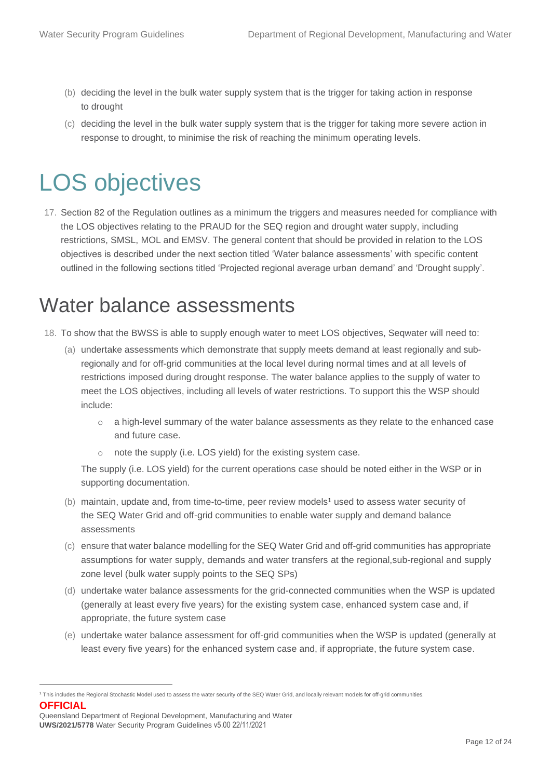- (b) deciding the level in the bulk water supply system that is the trigger for taking action in response to drought
- (c) deciding the level in the bulk water supply system that is the trigger for taking more severe action in response to drought, to minimise the risk of reaching the minimum operating levels.

# <span id="page-11-0"></span>LOS objectives

17. Section 82 of the Regulation outlines as a minimum the triggers and measures needed for compliance with the LOS objectives relating to the PRAUD for the SEQ region and drought water supply, including restrictions, SMSL, MOL and EMSV. The general content that should be provided in relation to the LOS objectives is described under the next section titled 'Water balance assessments' with specific content outlined in the following sections titled 'Projected regional average urban demand' and 'Drought supply'.

### <span id="page-11-1"></span>Water balance assessments

- 18. To show that the BWSS is able to supply enough water to meet LOS objectives, Seqwater will need to:
	- (a) undertake assessments which demonstrate that supply meets demand at least regionally and subregionally and for off-grid communities at the local level during normal times and at all levels of restrictions imposed during drought response. The water balance applies to the supply of water to meet the LOS objectives, including all levels of water restrictions. To support this the WSP should include:
		- $\circ$  a high-level summary of the water balance assessments as they relate to the enhanced case and future case.
		- o note the supply (i.e. LOS yield) for the existing system case.

The supply (i.e. LOS yield) for the current operations case should be noted either in the WSP or in supporting documentation.

- (b) maintain, update and, from time-to-time, peer review models<sup>1</sup> used to assess water security of the SEQ Water Grid and off-grid communities to enable water supply and demand balance assessments
- (c) ensure that water balance modelling for the SEQ Water Grid and off-grid communities has appropriate assumptions for water supply, demands and water transfers at the regional,sub-regional and supply zone level (bulk water supply points to the SEQ SPs)
- (d) undertake water balance assessments for the grid-connected communities when the WSP is updated (generally at least every five years) for the existing system case, enhanced system case and, if appropriate, the future system case
- (e) undertake water balance assessment for off-grid communities when the WSP is updated (generally at least every five years) for the enhanced system case and, if appropriate, the future system case.

**OFFICIAL**

<sup>1</sup> This includes the Regional Stochastic Model used to assess the water security of the SEQ Water Grid, and locally relevant models for off-grid communities.

Queensland Department of Regional Development, Manufacturing and Water **UWS/2021/5778** Water Security Program Guidelines v5.00 22/11/2021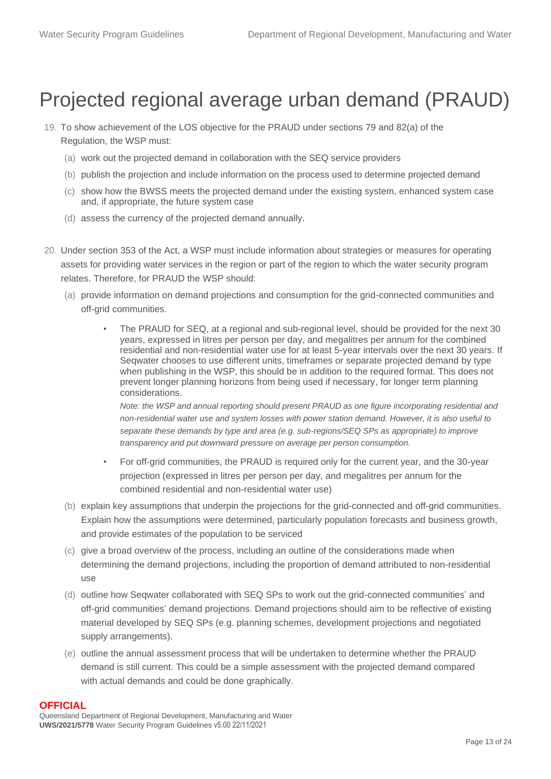### <span id="page-12-0"></span>Projected regional average urban demand (PRAUD)

- 19. To show achievement of the LOS objective for the PRAUD under sections 79 and 82(a) of the Regulation, the WSP must:
	- (a) work out the projected demand in collaboration with the SEQ service providers
	- (b) publish the projection and include information on the process used to determine projected demand
	- (c) show how the BWSS meets the projected demand under the existing system, enhanced system case and, if appropriate, the future system case
	- (d) assess the currency of the projected demand annually.
- 20. Under section 353 of the Act, a WSP must include information about strategies or measures for operating assets for providing water services in the region or part of the region to which the water security program relates. Therefore, for PRAUD the WSP should:
	- (a) provide information on demand projections and consumption for the grid-connected communities and off-grid communities.
		- The PRAUD for SEQ, at a regional and sub-regional level, should be provided for the next 30 years, expressed in litres per person per day, and megalitres per annum for the combined residential and non-residential water use for at least 5-year intervals over the next 30 years. If Seqwater chooses to use different units, timeframes or separate projected demand by type when publishing in the WSP, this should be in addition to the required format. This does not prevent longer planning horizons from being used if necessary, for longer term planning considerations.

*Note: the WSP and annual reporting should present PRAUD as one figure incorporating residential and non-residential water use and system losses with power station demand. However, it is also useful to separate these demands by type and area (e.g. sub-regions/SEQ SPs as appropriate) to improve transparency and put downward pressure on average per person consumption.*

- For off-grid communities, the PRAUD is required only for the current year, and the 30-year projection (expressed in litres per person per day, and megalitres per annum for the combined residential and non-residential water use)
- (b) explain key assumptions that underpin the projections for the grid-connected and off-grid communities. Explain how the assumptions were determined, particularly population forecasts and business growth, and provide estimates of the population to be serviced
- (c) give a broad overview of the process, including an outline of the considerations made when determining the demand projections, including the proportion of demand attributed to non-residential use
- (d) outline how Seqwater collaborated with SEQ SPs to work out the grid-connected communities' and off-grid communities' demand projections. Demand projections should aim to be reflective of existing material developed by SEQ SPs (e.g. planning schemes, development projections and negotiated supply arrangements).
- (e) outline the annual assessment process that will be undertaken to determine whether the PRAUD demand is still current. This could be a simple assessment with the projected demand compared with actual demands and could be done graphically.

#### **OFFICIAL**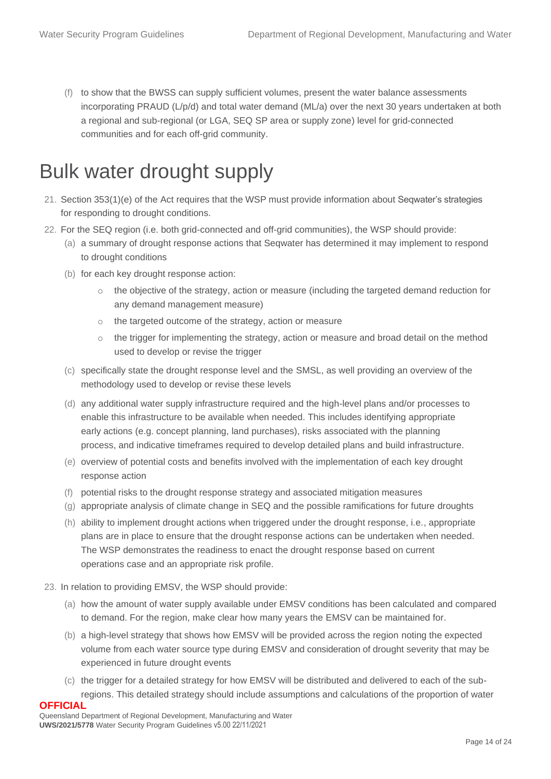(f) to show that the BWSS can supply sufficient volumes, present the water balance assessments incorporating PRAUD (L/p/d) and total water demand (ML/a) over the next 30 years undertaken at both a regional and sub-regional (or LGA, SEQ SP area or supply zone) level for grid-connected communities and for each off-grid community.

### <span id="page-13-0"></span>Bulk water drought supply

- 21. Section 353(1)(e) of the Act requires that the WSP must provide information about Seqwater's strategies for responding to drought conditions.
- 22. For the SEQ region (i.e. both grid-connected and off-grid communities), the WSP should provide:
	- (a) a summary of drought response actions that Seqwater has determined it may implement to respond to drought conditions
	- (b) for each key drought response action:
		- $\circ$  the objective of the strategy, action or measure (including the targeted demand reduction for any demand management measure)
		- o the targeted outcome of the strategy, action or measure
		- $\circ$  the trigger for implementing the strategy, action or measure and broad detail on the method used to develop or revise the trigger
	- (c) specifically state the drought response level and the SMSL, as well providing an overview of the methodology used to develop or revise these levels
	- (d) any additional water supply infrastructure required and the high-level plans and/or processes to enable this infrastructure to be available when needed. This includes identifying appropriate early actions (e.g. concept planning, land purchases), risks associated with the planning process, and indicative timeframes required to develop detailed plans and build infrastructure.
	- (e) overview of potential costs and benefits involved with the implementation of each key drought response action
	- (f) potential risks to the drought response strategy and associated mitigation measures
	- (g) appropriate analysis of climate change in SEQ and the possible ramifications for future droughts
	- (h) ability to implement drought actions when triggered under the drought response, i.e., appropriate plans are in place to ensure that the drought response actions can be undertaken when needed. The WSP demonstrates the readiness to enact the drought response based on current operations case and an appropriate risk profile.
- 23. In relation to providing EMSV, the WSP should provide:
	- (a) how the amount of water supply available under EMSV conditions has been calculated and compared to demand. For the region, make clear how many years the EMSV can be maintained for.
	- (b) a high-level strategy that shows how EMSV will be provided across the region noting the expected volume from each water source type during EMSV and consideration of drought severity that may be experienced in future drought events
	- (c) the trigger for a detailed strategy for how EMSV will be distributed and delivered to each of the subregions. This detailed strategy should include assumptions and calculations of the proportion of water

#### **OFFICIAL**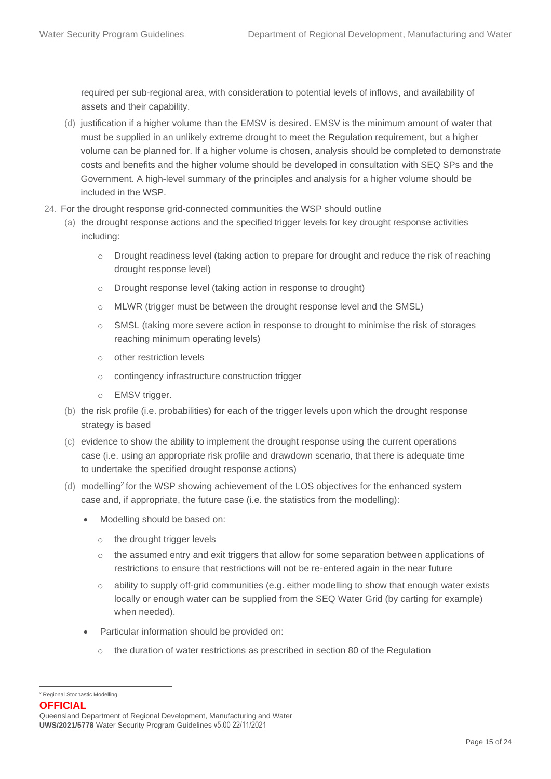required per sub-regional area, with consideration to potential levels of inflows, and availability of assets and their capability.

- (d) justification if a higher volume than the EMSV is desired. EMSV is the minimum amount of water that must be supplied in an unlikely extreme drought to meet the Regulation requirement, but a higher volume can be planned for. If a higher volume is chosen, analysis should be completed to demonstrate costs and benefits and the higher volume should be developed in consultation with SEQ SPs and the Government. A high-level summary of the principles and analysis for a higher volume should be included in the WSP.
- 24. For the drought response grid-connected communities the WSP should outline
	- (a) the drought response actions and the specified trigger levels for key drought response activities including:
		- o Drought readiness level (taking action to prepare for drought and reduce the risk of reaching drought response level)
		- o Drought response level (taking action in response to drought)
		- o MLWR (trigger must be between the drought response level and the SMSL)
		- o SMSL (taking more severe action in response to drought to minimise the risk of storages reaching minimum operating levels)
		- o other restriction levels
		- o contingency infrastructure construction trigger
		- o EMSV trigger.
	- (b) the risk profile (i.e. probabilities) for each of the trigger levels upon which the drought response strategy is based
	- (c) evidence to show the ability to implement the drought response using the current operations case (i.e. using an appropriate risk profile and drawdown scenario, that there is adequate time to undertake the specified drought response actions)
	- (d) modelling<sup>2</sup> for the WSP showing achievement of the LOS objectives for the enhanced system case and, if appropriate, the future case (i.e. the statistics from the modelling):
		- Modelling should be based on:
			- o the drought trigger levels
			- $\circ$  the assumed entry and exit triggers that allow for some separation between applications of restrictions to ensure that restrictions will not be re-entered again in the near future
			- o ability to supply off-grid communities (e.g. either modelling to show that enough water exists locally or enough water can be supplied from the SEQ Water Grid (by carting for example) when needed).
		- Particular information should be provided on:
			- $\circ$  the duration of water restrictions as prescribed in section 80 of the Regulation

**OFFICIAL**

<sup>2</sup> Regional Stochastic Modelling

Queensland Department of Regional Development, Manufacturing and Water **UWS/2021/5778** Water Security Program Guidelines v5.00 22/11/2021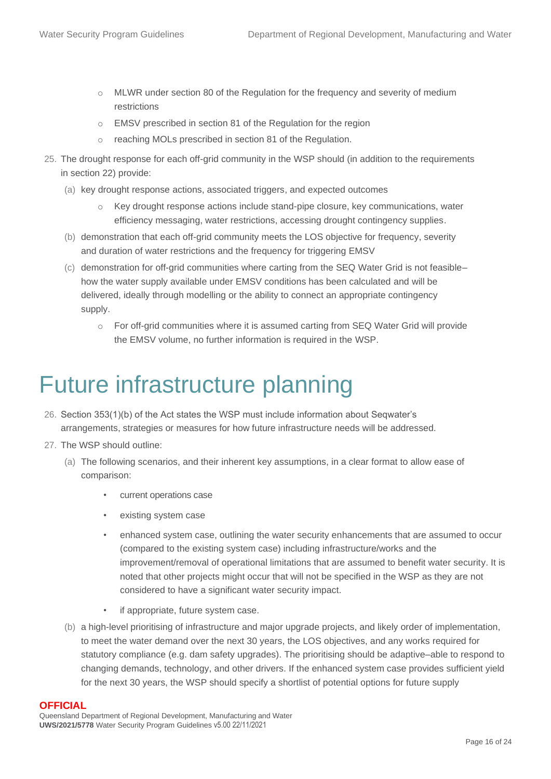- o MLWR under section 80 of the Regulation for the frequency and severity of medium restrictions
- o EMSV prescribed in section 81 of the Regulation for the region
- o reaching MOLs prescribed in section 81 of the Regulation.
- 25. The drought response for each off-grid community in the WSP should (in addition to the requirements in section 22) provide:
	- (a) key drought response actions, associated triggers, and expected outcomes
		- o Key drought response actions include stand-pipe closure, key communications, water efficiency messaging, water restrictions, accessing drought contingency supplies.
	- (b) demonstration that each off-grid community meets the LOS objective for frequency, severity and duration of water restrictions and the frequency for triggering EMSV
	- (c) demonstration for off-grid communities where carting from the SEQ Water Grid is not feasible– how the water supply available under EMSV conditions has been calculated and will be delivered, ideally through modelling or the ability to connect an appropriate contingency supply.
		- o For off-grid communities where it is assumed carting from SEQ Water Grid will provide the EMSV volume, no further information is required in the WSP.

# <span id="page-15-0"></span>Future infrastructure planning

- 26. Section 353(1)(b) of the Act states the WSP must include information about Seqwater's arrangements, strategies or measures for how future infrastructure needs will be addressed.
- 27. The WSP should outline:
	- (a) The following scenarios, and their inherent key assumptions, in a clear format to allow ease of comparison:
		- current operations case
		- existing system case
		- enhanced system case, outlining the water security enhancements that are assumed to occur (compared to the existing system case) including infrastructure/works and the improvement/removal of operational limitations that are assumed to benefit water security. It is noted that other projects might occur that will not be specified in the WSP as they are not considered to have a significant water security impact.
		- if appropriate, future system case.
	- (b) a high-level prioritising of infrastructure and major upgrade projects, and likely order of implementation, to meet the water demand over the next 30 years, the LOS objectives, and any works required for statutory compliance (e.g. dam safety upgrades). The prioritising should be adaptive–able to respond to changing demands, technology, and other drivers. If the enhanced system case provides sufficient yield for the next 30 years, the WSP should specify a shortlist of potential options for future supply

#### **OFFICIAL**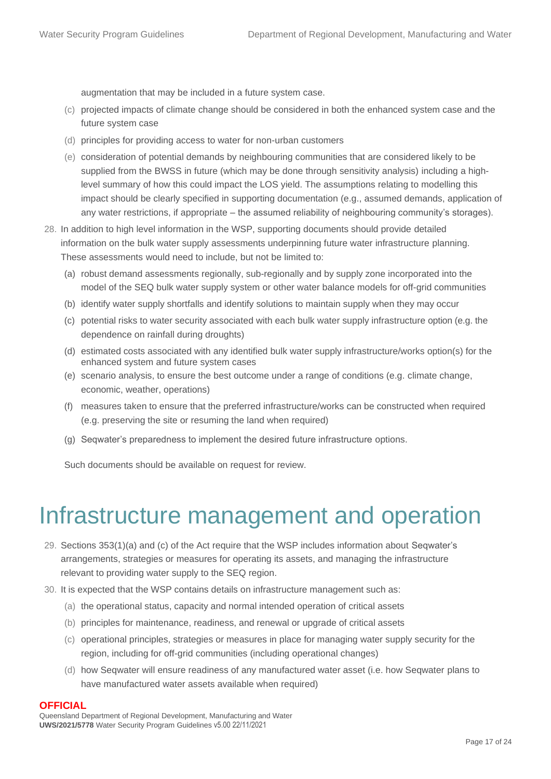augmentation that may be included in a future system case.

- (c) projected impacts of climate change should be considered in both the enhanced system case and the future system case
- (d) principles for providing access to water for non-urban customers
- (e) consideration of potential demands by neighbouring communities that are considered likely to be supplied from the BWSS in future (which may be done through sensitivity analysis) including a highlevel summary of how this could impact the LOS yield. The assumptions relating to modelling this impact should be clearly specified in supporting documentation (e.g., assumed demands, application of any water restrictions, if appropriate – the assumed reliability of neighbouring community's storages).
- 28. In addition to high level information in the WSP, supporting documents should provide detailed information on the bulk water supply assessments underpinning future water infrastructure planning. These assessments would need to include, but not be limited to:
	- (a) robust demand assessments regionally, sub-regionally and by supply zone incorporated into the model of the SEQ bulk water supply system or other water balance models for off-grid communities
	- (b) identify water supply shortfalls and identify solutions to maintain supply when they may occur
	- (c) potential risks to water security associated with each bulk water supply infrastructure option (e.g. the dependence on rainfall during droughts)
	- (d) estimated costs associated with any identified bulk water supply infrastructure/works option(s) for the enhanced system and future system cases
	- (e) scenario analysis, to ensure the best outcome under a range of conditions (e.g. climate change, economic, weather, operations)
	- (f) measures taken to ensure that the preferred infrastructure/works can be constructed when required (e.g. preserving the site or resuming the land when required)
	- (g) Seqwater's preparedness to implement the desired future infrastructure options.

Such documents should be available on request for review.

### <span id="page-16-0"></span>Infrastructure management and operation

- 29. Sections 353(1)(a) and (c) of the Act require that the WSP includes information about Seqwater's arrangements, strategies or measures for operating its assets, and managing the infrastructure relevant to providing water supply to the SEQ region.
- 30. It is expected that the WSP contains details on infrastructure management such as:
	- (a) the operational status, capacity and normal intended operation of critical assets
	- (b) principles for maintenance, readiness, and renewal or upgrade of critical assets
	- (c) operational principles, strategies or measures in place for managing water supply security for the region, including for off-grid communities (including operational changes)
	- (d) how Seqwater will ensure readiness of any manufactured water asset (i.e. how Seqwater plans to have manufactured water assets available when required)

#### **OFFICIAL**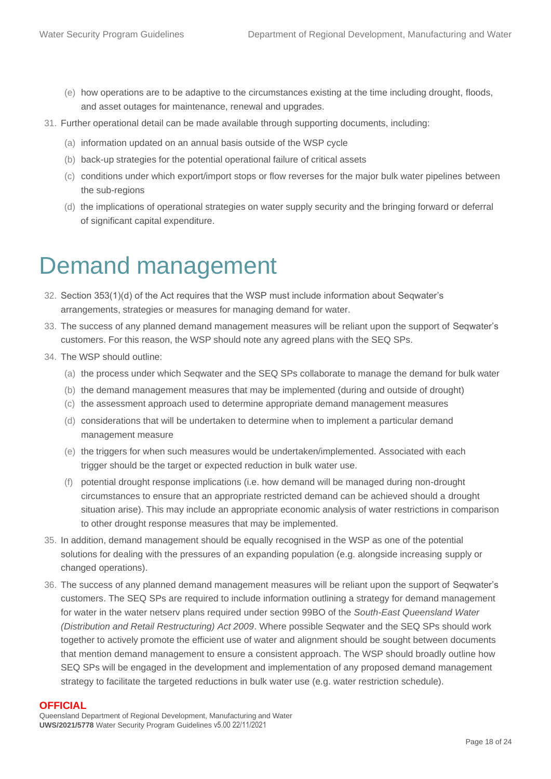- (e) how operations are to be adaptive to the circumstances existing at the time including drought, floods, and asset outages for maintenance, renewal and upgrades.
- 31. Further operational detail can be made available through supporting documents, including:
	- (a) information updated on an annual basis outside of the WSP cycle
	- (b) back-up strategies for the potential operational failure of critical assets
	- (c) conditions under which export/import stops or flow reverses for the major bulk water pipelines between the sub-regions
	- (d) the implications of operational strategies on water supply security and the bringing forward or deferral of significant capital expenditure.

### <span id="page-17-0"></span>Demand management

- 32. Section 353(1)(d) of the Act requires that the WSP must include information about Seqwater's arrangements, strategies or measures for managing demand for water.
- 33. The success of any planned demand management measures will be reliant upon the support of Seqwater's customers. For this reason, the WSP should note any agreed plans with the SEQ SPs.
- 34. The WSP should outline:
	- (a) the process under which Seqwater and the SEQ SPs collaborate to manage the demand for bulk water
	- (b) the demand management measures that may be implemented (during and outside of drought)
	- (c) the assessment approach used to determine appropriate demand management measures
	- (d) considerations that will be undertaken to determine when to implement a particular demand management measure
	- (e) the triggers for when such measures would be undertaken/implemented. Associated with each trigger should be the target or expected reduction in bulk water use.
	- (f) potential drought response implications (i.e. how demand will be managed during non-drought circumstances to ensure that an appropriate restricted demand can be achieved should a drought situation arise). This may include an appropriate economic analysis of water restrictions in comparison to other drought response measures that may be implemented.
- 35. In addition, demand management should be equally recognised in the WSP as one of the potential solutions for dealing with the pressures of an expanding population (e.g. alongside increasing supply or changed operations).
- 36. The success of any planned demand management measures will be reliant upon the support of Seqwater's customers. The SEQ SPs are required to include information outlining a strategy for demand management for water in the water netserv plans required under section 99BO of the *South-East Queensland Water (Distribution and Retail Restructuring) Act 2009*. Where possible Seqwater and the SEQ SPs should work together to actively promote the efficient use of water and alignment should be sought between documents that mention demand management to ensure a consistent approach. The WSP should broadly outline how SEQ SPs will be engaged in the development and implementation of any proposed demand management strategy to facilitate the targeted reductions in bulk water use (e.g. water restriction schedule).

#### **OFFICIAL**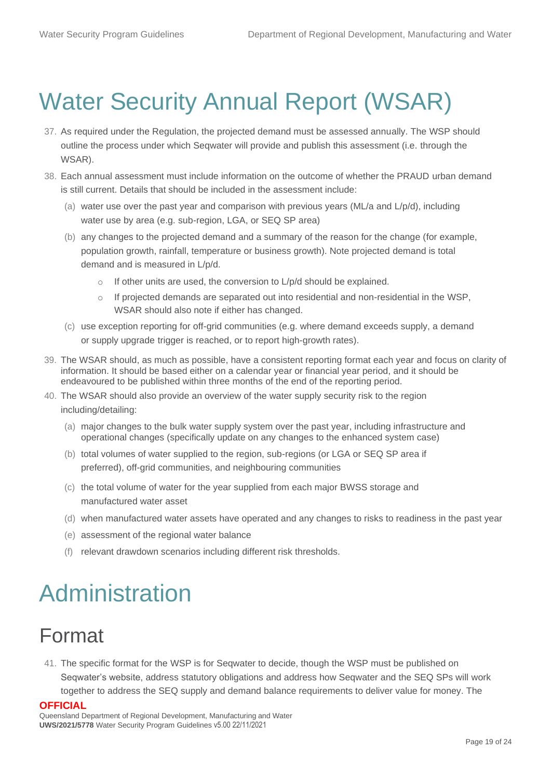# <span id="page-18-0"></span>Water Security Annual Report (WSAR)

- 37. As required under the Regulation, the projected demand must be assessed annually. The WSP should outline the process under which Seqwater will provide and publish this assessment (i.e. through the WSAR).
- 38. Each annual assessment must include information on the outcome of whether the PRAUD urban demand is still current. Details that should be included in the assessment include:
	- (a) water use over the past year and comparison with previous years (ML/a and L/p/d), including water use by area (e.g. sub-region, LGA, or SEQ SP area)
	- (b) any changes to the projected demand and a summary of the reason for the change (for example, population growth, rainfall, temperature or business growth). Note projected demand is total demand and is measured in L/p/d.
		- $\circ$  If other units are used, the conversion to L/p/d should be explained.
		- $\circ$  If projected demands are separated out into residential and non-residential in the WSP, WSAR should also note if either has changed.
	- (c) use exception reporting for off-grid communities (e.g. where demand exceeds supply, a demand or supply upgrade trigger is reached, or to report high-growth rates).
- 39. The WSAR should, as much as possible, have a consistent reporting format each year and focus on clarity of information. It should be based either on a calendar year or financial year period, and it should be endeavoured to be published within three months of the end of the reporting period.
- 40. The WSAR should also provide an overview of the water supply security risk to the region including/detailing:
	- (a) major changes to the bulk water supply system over the past year, including infrastructure and operational changes (specifically update on any changes to the enhanced system case)
	- (b) total volumes of water supplied to the region, sub-regions (or LGA or SEQ SP area if preferred), off-grid communities, and neighbouring communities
	- (c) the total volume of water for the year supplied from each major BWSS storage and manufactured water asset
	- (d) when manufactured water assets have operated and any changes to risks to readiness in the past year
	- (e) assessment of the regional water balance
	- (f) relevant drawdown scenarios including different risk thresholds.

# <span id="page-18-1"></span>Administration

### <span id="page-18-2"></span>Format

41. The specific format for the WSP is for Seqwater to decide, though the WSP must be published on Seqwater's website, address statutory obligations and address how Seqwater and the SEQ SPs will work together to address the SEQ supply and demand balance requirements to deliver value for money. The

#### **OFFICIAL**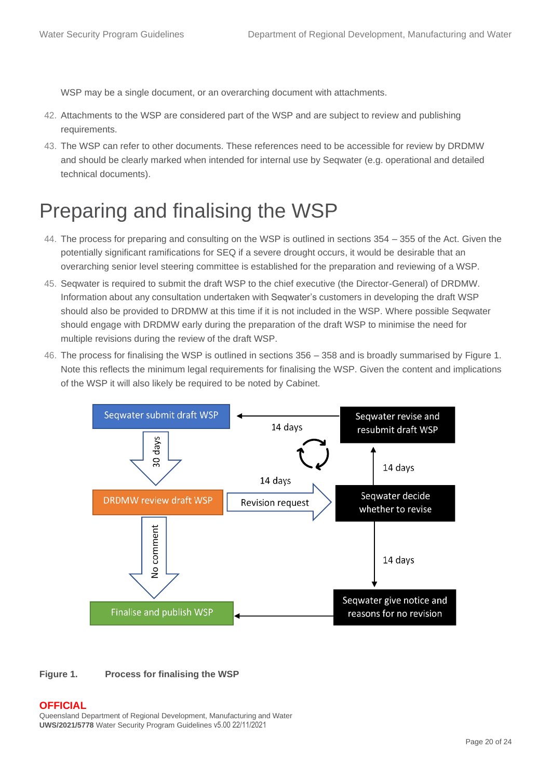WSP may be a single document, or an overarching document with attachments.

- 42. Attachments to the WSP are considered part of the WSP and are subject to review and publishing requirements.
- 43. The WSP can refer to other documents. These references need to be accessible for review by DRDMW and should be clearly marked when intended for internal use by Seqwater (e.g. operational and detailed technical documents).

### <span id="page-19-0"></span>Preparing and finalising the WSP

- 44. The process for preparing and consulting on the WSP is outlined in sections 354 355 of the Act. Given the potentially significant ramifications for SEQ if a severe drought occurs, it would be desirable that an overarching senior level steering committee is established for the preparation and reviewing of a WSP.
- 45. Seqwater is required to submit the draft WSP to the chief executive (the Director-General) of DRDMW. Information about any consultation undertaken with Seqwater's customers in developing the draft WSP should also be provided to DRDMW at this time if it is not included in the WSP. Where possible Seqwater should engage with DRDMW early during the preparation of the draft WSP to minimise the need for multiple revisions during the review of the draft WSP.
- 46. The process for finalising the WSP is outlined in sections 356 358 and is broadly summarised by Figure 1. Note this reflects the minimum legal requirements for finalising the WSP. Given the content and implications of the WSP it will also likely be required to be noted by Cabinet.



**Figure 1. Process for finalising the WSP**

#### **OFFICIAL**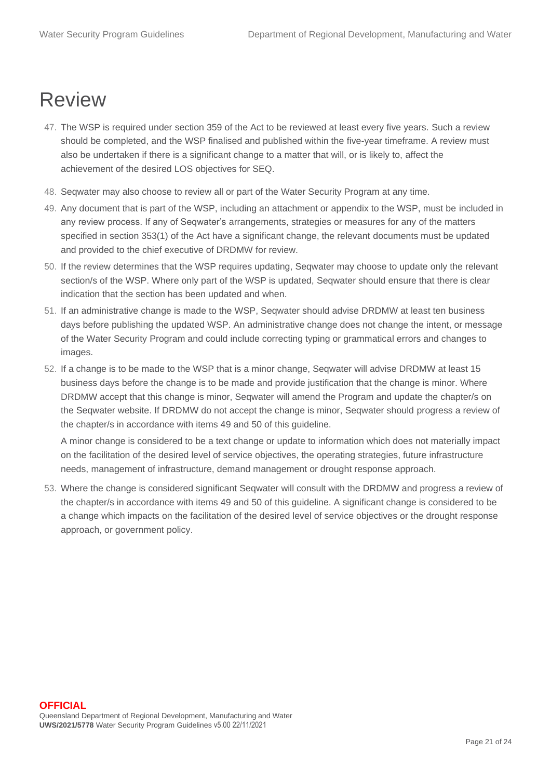### <span id="page-20-0"></span>Review

- 47. The WSP is required under section 359 of the Act to be reviewed at least every five years. Such a review should be completed, and the WSP finalised and published within the five-year timeframe. A review must also be undertaken if there is a significant change to a matter that will, or is likely to, affect the achievement of the desired LOS objectives for SEQ.
- 48. Seqwater may also choose to review all or part of the Water Security Program at any time.
- 49. Any document that is part of the WSP, including an attachment or appendix to the WSP, must be included in any review process. If any of Seqwater's arrangements, strategies or measures for any of the matters specified in section 353(1) of the Act have a significant change, the relevant documents must be updated and provided to the chief executive of DRDMW for review.
- 50. If the review determines that the WSP requires updating, Seqwater may choose to update only the relevant section/s of the WSP. Where only part of the WSP is updated, Seqwater should ensure that there is clear indication that the section has been updated and when.
- 51. If an administrative change is made to the WSP, Seqwater should advise DRDMW at least ten business days before publishing the updated WSP. An administrative change does not change the intent, or message of the Water Security Program and could include correcting typing or grammatical errors and changes to images.
- 52. If a change is to be made to the WSP that is a minor change, Seqwater will advise DRDMW at least 15 business days before the change is to be made and provide justification that the change is minor. Where DRDMW accept that this change is minor, Seqwater will amend the Program and update the chapter/s on the Seqwater website. If DRDMW do not accept the change is minor, Seqwater should progress a review of the chapter/s in accordance with items 49 and 50 of this guideline.

A minor change is considered to be a text change or update to information which does not materially impact on the facilitation of the desired level of service objectives, the operating strategies, future infrastructure needs, management of infrastructure, demand management or drought response approach.

53. Where the change is considered significant Seqwater will consult with the DRDMW and progress a review of the chapter/s in accordance with items 49 and 50 of this guideline. A significant change is considered to be a change which impacts on the facilitation of the desired level of service objectives or the drought response approach, or government policy.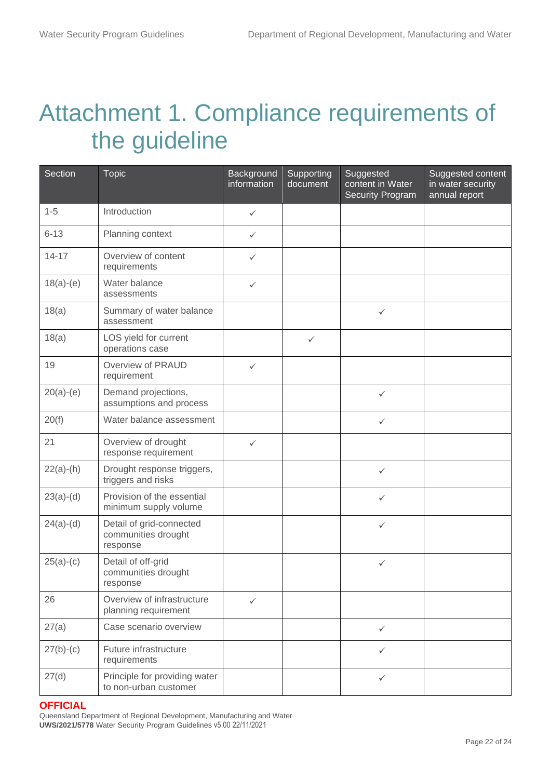# <span id="page-21-0"></span>Attachment 1. Compliance requirements of the guideline

| Section     | <b>Topic</b>                                                | Background<br>information | Supporting<br>document | Suggested<br>content in Water<br><b>Security Program</b> | Suggested content<br>in water security<br>annual report |
|-------------|-------------------------------------------------------------|---------------------------|------------------------|----------------------------------------------------------|---------------------------------------------------------|
| $1 - 5$     | Introduction                                                | $\checkmark$              |                        |                                                          |                                                         |
| $6 - 13$    | Planning context                                            | $\checkmark$              |                        |                                                          |                                                         |
| $14 - 17$   | Overview of content<br>requirements                         | ✓                         |                        |                                                          |                                                         |
| $18(a)-(e)$ | Water balance<br>assessments                                | ✓                         |                        |                                                          |                                                         |
| 18(a)       | Summary of water balance<br>assessment                      |                           |                        | $\checkmark$                                             |                                                         |
| 18(a)       | LOS yield for current<br>operations case                    |                           | $\checkmark$           |                                                          |                                                         |
| 19          | Overview of PRAUD<br>requirement                            | $\checkmark$              |                        |                                                          |                                                         |
| $20(a)-(e)$ | Demand projections,<br>assumptions and process              |                           |                        | $\checkmark$                                             |                                                         |
| 20(f)       | Water balance assessment                                    |                           |                        | $\checkmark$                                             |                                                         |
| 21          | Overview of drought<br>response requirement                 | $\checkmark$              |                        |                                                          |                                                         |
| $22(a)-(h)$ | Drought response triggers,<br>triggers and risks            |                           |                        | $\checkmark$                                             |                                                         |
| $23(a)-(d)$ | Provision of the essential<br>minimum supply volume         |                           |                        | $\checkmark$                                             |                                                         |
| $24(a)-(d)$ | Detail of grid-connected<br>communities drought<br>response |                           |                        | $\checkmark$                                             |                                                         |
| $25(a)-(c)$ | Detail of off-grid<br>communities drought<br>response       |                           |                        | $\checkmark$                                             |                                                         |
| 26          | Overview of infrastructure<br>planning requirement          | $\checkmark$              |                        |                                                          |                                                         |
| 27(a)       | Case scenario overview                                      |                           |                        | $\checkmark$                                             |                                                         |
| $27(b)-(c)$ | Future infrastructure<br>requirements                       |                           |                        | $\checkmark$                                             |                                                         |
| 27(d)       | Principle for providing water<br>to non-urban customer      |                           |                        | ✓                                                        |                                                         |

#### **OFFICIAL**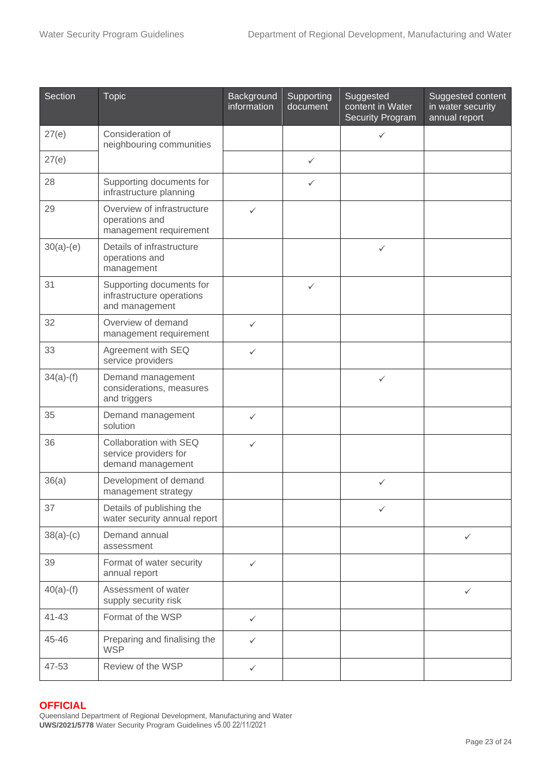| Section     | <b>Topic</b>                                                            | Background<br>information | Supporting<br>document | Suggested<br>content in Water<br><b>Security Program</b> | Suggested content<br>in water security<br>annual report |
|-------------|-------------------------------------------------------------------------|---------------------------|------------------------|----------------------------------------------------------|---------------------------------------------------------|
| 27(e)       | Consideration of<br>neighbouring communities                            |                           |                        | ✓                                                        |                                                         |
| 27(e)       |                                                                         |                           | $\checkmark$           |                                                          |                                                         |
| 28          | Supporting documents for<br>infrastructure planning                     |                           | ✓                      |                                                          |                                                         |
| 29          | Overview of infrastructure<br>operations and<br>management requirement  | ✓                         |                        |                                                          |                                                         |
| $30(a)-(e)$ | Details of infrastructure<br>operations and<br>management               |                           |                        | ✓                                                        |                                                         |
| 31          | Supporting documents for<br>infrastructure operations<br>and management |                           | $\checkmark$           |                                                          |                                                         |
| 32          | Overview of demand<br>management requirement                            | ✓                         |                        |                                                          |                                                         |
| 33          | Agreement with SEQ<br>service providers                                 | $\checkmark$              |                        |                                                          |                                                         |
| $34(a)-(f)$ | Demand management<br>considerations, measures<br>and triggers           |                           |                        | ✓                                                        |                                                         |
| 35          | Demand management<br>solution                                           | ✓                         |                        |                                                          |                                                         |
| 36          | Collaboration with SEQ<br>service providers for<br>demand management    | ✓                         |                        |                                                          |                                                         |
| 36(a)       | Development of demand<br>management strategy                            |                           |                        | ✓                                                        |                                                         |
| 37          | Details of publishing the<br>water security annual report               |                           |                        | ✓                                                        |                                                         |
| $38(a)-(c)$ | Demand annual<br>assessment                                             |                           |                        |                                                          | $\checkmark$                                            |
| 39          | Format of water security<br>annual report                               | $\checkmark$              |                        |                                                          |                                                         |
| $40(a)-(f)$ | Assessment of water<br>supply security risk                             |                           |                        |                                                          | $\checkmark$                                            |
| $41 - 43$   | Format of the WSP                                                       | $\checkmark$              |                        |                                                          |                                                         |
| 45-46       | Preparing and finalising the<br><b>WSP</b>                              | ✓                         |                        |                                                          |                                                         |
| 47-53       | Review of the WSP                                                       | $\checkmark$              |                        |                                                          |                                                         |

#### **OFFICIAL**